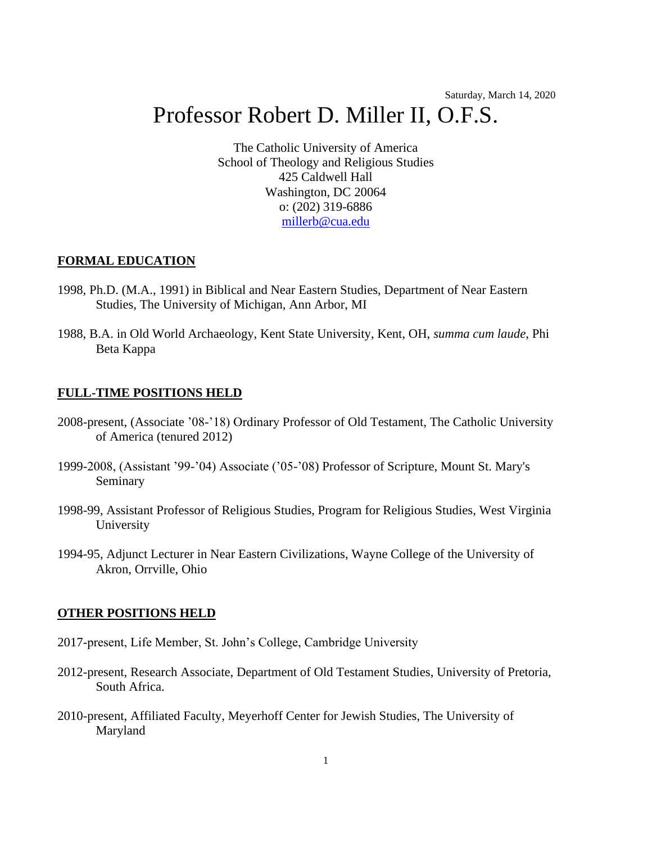# Professor Robert D. Miller II, O.F.S.

The Catholic University of America School of Theology and Religious Studies 425 Caldwell Hall Washington, DC 20064 o: (202) 319-6886 [millerb@cua.edu](mailto:millerb@cua.edu)

## **FORMAL EDUCATION**

- 1998, Ph.D. (M.A., 1991) in Biblical and Near Eastern Studies, Department of Near Eastern Studies, The University of Michigan, Ann Arbor, MI
- 1988, B.A. in Old World Archaeology, Kent State University, Kent, OH, *summa cum laude*, Phi Beta Kappa

## **FULL-TIME POSITIONS HELD**

- 2008-present, (Associate '08-'18) Ordinary Professor of Old Testament, The Catholic University of America (tenured 2012)
- 1999-2008, (Assistant '99-'04) Associate ('05-'08) Professor of Scripture, Mount St. Mary's Seminary
- 1998-99, Assistant Professor of Religious Studies, Program for Religious Studies, West Virginia University
- 1994-95, Adjunct Lecturer in Near Eastern Civilizations, Wayne College of the University of Akron, Orrville, Ohio

#### **OTHER POSITIONS HELD**

- 2017-present, Life Member, St. John's College, Cambridge University
- 2012-present, Research Associate, Department of Old Testament Studies, University of Pretoria, South Africa.
- 2010-present, Affiliated Faculty, Meyerhoff Center for Jewish Studies, The University of Maryland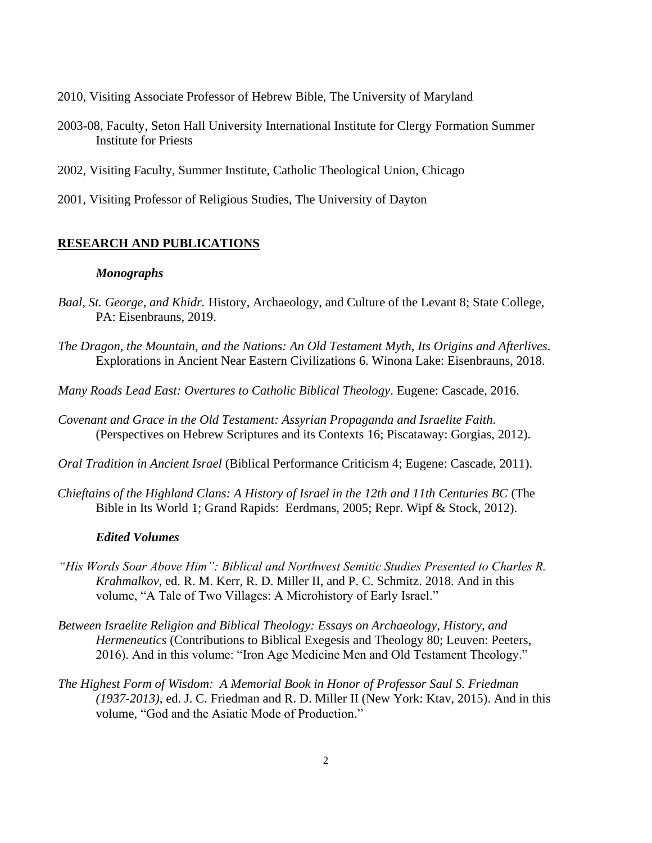- 2010, Visiting Associate Professor of Hebrew Bible, The University of Maryland
- 2003-08, Faculty, Seton Hall University International Institute for Clergy Formation Summer Institute for Priests
- 2002, Visiting Faculty, Summer Institute, Catholic Theological Union, Chicago
- 2001, Visiting Professor of Religious Studies, The University of Dayton

# **RESEARCH AND PUBLICATIONS**

#### *Monographs*

- *Baal, St. George, and Khidr.* History, Archaeology, and Culture of the Levant 8; State College, PA: Eisenbrauns, 2019.
- *The Dragon, the Mountain, and the Nations: An Old Testament Myth, Its Origins and Afterlives.*  Explorations in Ancient Near Eastern Civilizations 6. Winona Lake: Eisenbrauns, 2018.
- *Many Roads Lead East: Overtures to Catholic Biblical Theology*. Eugene: Cascade, 2016.
- *Covenant and Grace in the Old Testament: Assyrian Propaganda and Israelite Faith.* (Perspectives on Hebrew Scriptures and its Contexts 16; Piscataway: Gorgias, 2012).
- *Oral Tradition in Ancient Israel* (Biblical Performance Criticism 4; Eugene: Cascade, 2011).
- *Chieftains of the Highland Clans: A History of Israel in the 12th and 11th Centuries BC* (The Bible in Its World 1; Grand Rapids: Eerdmans, 2005; Repr. Wipf & Stock, 2012).

#### *Edited Volumes*

- *"His Words Soar Above Him": Biblical and Northwest Semitic Studies Presented to Charles R. Krahmalkov*, ed. R. M. Kerr, R. D. Miller II, and P. C. Schmitz. 2018. And in this volume, "A Tale of Two Villages: A Microhistory of Early Israel."
- *Between Israelite Religion and Biblical Theology: Essays on Archaeology, History, and Hermeneutics* (Contributions to Biblical Exegesis and Theology 80; Leuven: Peeters, 2016). And in this volume: "Iron Age Medicine Men and Old Testament Theology."
- *The Highest Form of Wisdom: A Memorial Book in Honor of Professor Saul S. Friedman (1937-2013)*, ed. J. C. Friedman and R. D. Miller II (New York: Ktav, 2015). And in this volume, "God and the Asiatic Mode of Production."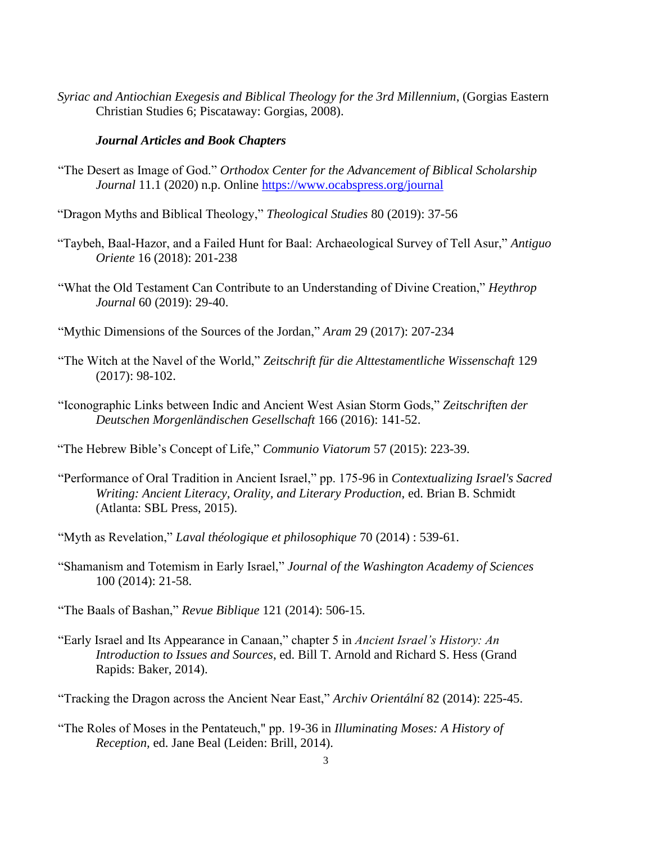*Syriac and Antiochian Exegesis and Biblical Theology for the 3rd Millennium*, (Gorgias Eastern Christian Studies 6; Piscataway: Gorgias, 2008).

## *Journal Articles and Book Chapters*

- "The Desert as Image of God." *Orthodox Center for the Advancement of Biblical Scholarship Journal* 11.1 (2020) n.p. Online<https://www.ocabspress.org/journal>
- "Dragon Myths and Biblical Theology," *Theological Studies* 80 (2019): 37-56
- "Taybeh, Baal-Hazor, and a Failed Hunt for Baal: Archaeological Survey of Tell Asur," *Antiguo Oriente* 16 (2018): 201-238
- "What the Old Testament Can Contribute to an Understanding of Divine Creation," *Heythrop Journal* 60 (2019): 29-40.
- "Mythic Dimensions of the Sources of the Jordan," *Aram* 29 (2017): 207-234
- "The Witch at the Navel of the World," *Zeitschrift für die Alttestamentliche Wissenschaft* 129 (2017): 98-102.
- "Iconographic Links between Indic and Ancient West Asian Storm Gods," *Zeitschriften der Deutschen Morgenländischen Gesellschaft* 166 (2016): 141-52.
- "The Hebrew Bible's Concept of Life," *Communio Viatorum* 57 (2015): 223-39.
- "Performance of Oral Tradition in Ancient Israel," pp. 175-96 in *Contextualizing Israel's Sacred Writing: Ancient Literacy, Orality, and Literary Production*, ed. Brian B. Schmidt (Atlanta: SBL Press, 2015).
- "Myth as Revelation," *Laval théologique et philosophique* 70 (2014) : 539-61.
- "Shamanism and Totemism in Early Israel," *Journal of the Washington Academy of Sciences* 100 (2014): 21-58.
- "The Baals of Bashan," *Revue Biblique* 121 (2014): 506-15.
- "Early Israel and Its Appearance in Canaan," chapter 5 in *Ancient Israel's History: An Introduction to Issues and Sources*, ed. Bill T. Arnold and Richard S. Hess (Grand Rapids: Baker, 2014).
- "Tracking the Dragon across the Ancient Near East," *Archiv Orientální* 82 (2014): 225-45.
- "The Roles of Moses in the Pentateuch," pp. 19-36 in *Illuminating Moses: A History of Reception,* ed. Jane Beal (Leiden: Brill, 2014).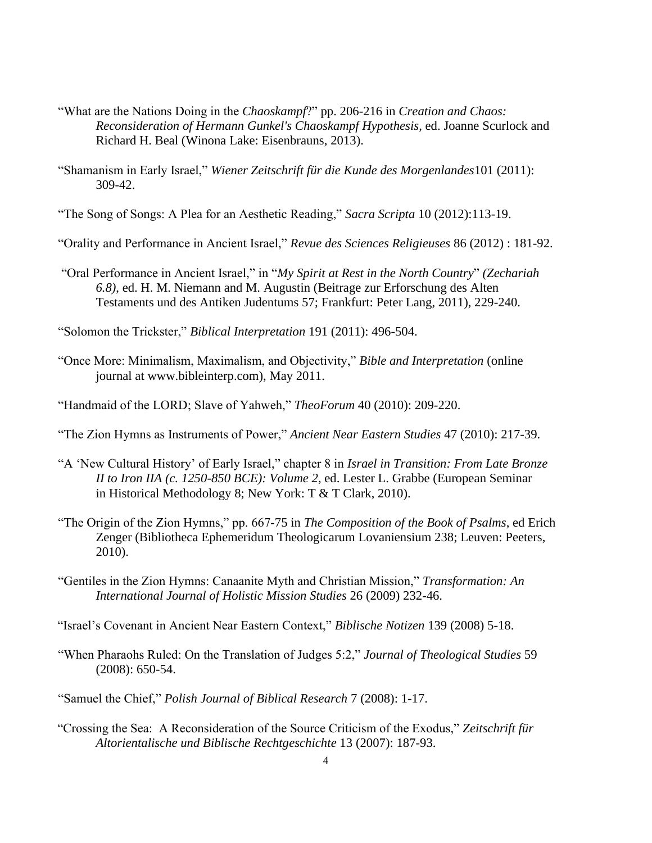- "What are the Nations Doing in the *Chaoskampf*?" pp. 206-216 in *Creation and Chaos: Reconsideration of Hermann Gunkel's Chaoskampf Hypothesis*, ed. Joanne Scurlock and Richard H. Beal (Winona Lake: Eisenbrauns, 2013).
- "Shamanism in Early Israel," *Wiener Zeitschrift für die Kunde des Morgenlandes*101 (2011): 309-42.

"The Song of Songs: A Plea for an Aesthetic Reading," *Sacra Scripta* 10 (2012):113-19.

- "Orality and Performance in Ancient Israel," *Revue des Sciences Religieuses* 86 (2012) : 181-92.
- "Oral Performance in Ancient Israel," in "*My Spirit at Rest in the North Country*" *(Zechariah 6.8)*, ed. H. M. Niemann and M. Augustin (Beitrage zur Erforschung des Alten Testaments und des Antiken Judentums 57; Frankfurt: Peter Lang, 2011), 229-240.

"Solomon the Trickster," *Biblical Interpretation* 191 (2011): 496-504.

"Once More: Minimalism, Maximalism, and Objectivity," *Bible and Interpretation* (online journal at www.bibleinterp.com), May 2011.

"Handmaid of the LORD; Slave of Yahweh," *TheoForum* 40 (2010): 209-220.

- "The Zion Hymns as Instruments of Power," *Ancient Near Eastern Studies* 47 (2010): 217-39.
- "A 'New Cultural History' of Early Israel," chapter 8 in *Israel in Transition: From Late Bronze II to Iron IIA (c. 1250-850 BCE): Volume 2*, ed. Lester L. Grabbe (European Seminar in Historical Methodology 8; New York: T & T Clark, 2010).
- "The Origin of the Zion Hymns," pp. 667-75 in *The Composition of the Book of Psalms*, ed Erich Zenger (Bibliotheca Ephemeridum Theologicarum Lovaniensium 238; Leuven: Peeters, 2010).
- "Gentiles in the Zion Hymns: Canaanite Myth and Christian Mission," *Transformation: An International Journal of Holistic Mission Studies* 26 (2009) 232-46.

"Israel's Covenant in Ancient Near Eastern Context," *Biblische Notizen* 139 (2008) 5-18.

- "When Pharaohs Ruled: On the Translation of Judges 5:2," *Journal of Theological Studies* 59 (2008): 650-54.
- "Samuel the Chief," *Polish Journal of Biblical Research* 7 (2008): 1-17.
- "Crossing the Sea: A Reconsideration of the Source Criticism of the Exodus," *Zeitschrift für Altorientalische und Biblische Rechtgeschichte* 13 (2007): 187-93.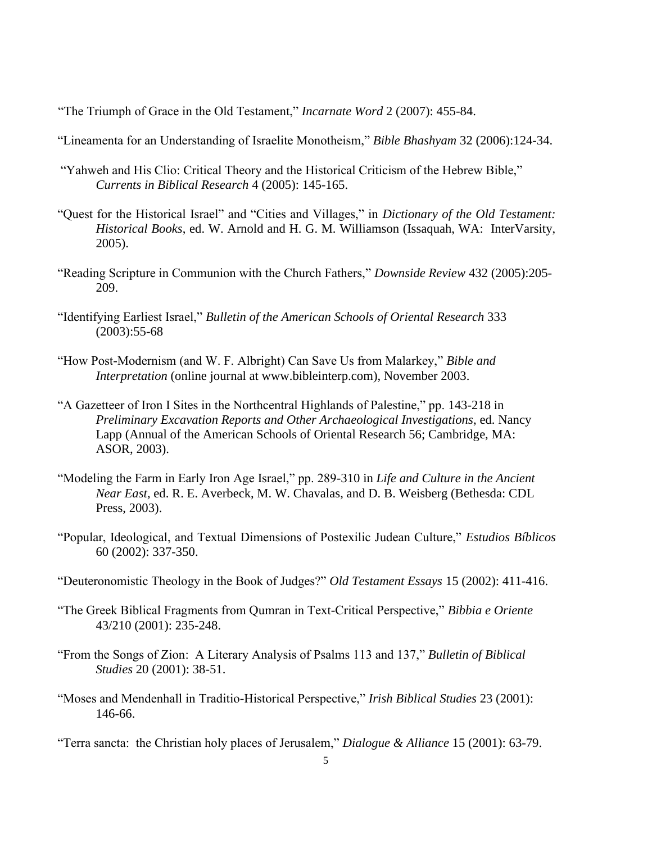"The Triumph of Grace in the Old Testament," *Incarnate Word* 2 (2007): 455-84.

"Lineamenta for an Understanding of Israelite Monotheism," *Bible Bhashyam* 32 (2006):124-34.

- "Yahweh and His Clio: Critical Theory and the Historical Criticism of the Hebrew Bible," *Currents in Biblical Research* 4 (2005): 145-165.
- "Quest for the Historical Israel" and "Cities and Villages," in *Dictionary of the Old Testament: Historical Books*, ed. W. Arnold and H. G. M. Williamson (Issaquah, WA: InterVarsity, 2005).
- "Reading Scripture in Communion with the Church Fathers," *Downside Review* 432 (2005):205- 209.
- "Identifying Earliest Israel," *Bulletin of the American Schools of Oriental Research* 333 (2003):55-68
- "How Post-Modernism (and W. F. Albright) Can Save Us from Malarkey," *Bible and Interpretation* (online journal at www.bibleinterp.com), November 2003.
- "A Gazetteer of Iron I Sites in the Northcentral Highlands of Palestine," pp. 143-218 in *Preliminary Excavation Reports and Other Archaeological Investigations*, ed. Nancy Lapp (Annual of the American Schools of Oriental Research 56; Cambridge, MA: ASOR, 2003).
- "Modeling the Farm in Early Iron Age Israel," pp. 289-310 in *Life and Culture in the Ancient Near East,* ed. R. E. Averbeck, M. W. Chavalas, and D. B. Weisberg (Bethesda: CDL Press, 2003).
- "Popular, Ideological, and Textual Dimensions of Postexilic Judean Culture," *Estudios Bíblicos* 60 (2002): 337-350.
- "Deuteronomistic Theology in the Book of Judges?" *Old Testament Essays* 15 (2002): 411-416.
- "The Greek Biblical Fragments from Qumran in Text-Critical Perspective," *Bibbia e Oriente* 43/210 (2001): 235-248.
- "From the Songs of Zion: A Literary Analysis of Psalms 113 and 137," *Bulletin of Biblical Studies* 20 (2001): 38-51.
- "Moses and Mendenhall in Traditio-Historical Perspective," *Irish Biblical Studies* 23 (2001): 146-66.
- "Terra sancta: the Christian holy places of Jerusalem," *Dialogue & Alliance* 15 (2001): 63-79.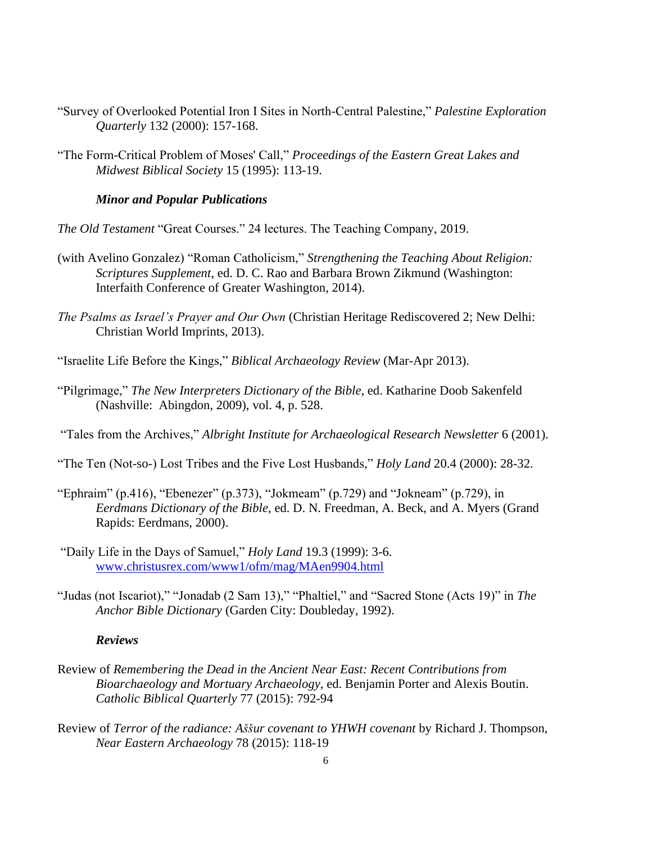- "Survey of Overlooked Potential Iron I Sites in North-Central Palestine," *Palestine Exploration Quarterly* 132 (2000): 157-168.
- "The Form-Critical Problem of Moses' Call," *Proceedings of the Eastern Great Lakes and Midwest Biblical Society* 15 (1995): 113-19.

#### *Minor and Popular Publications*

*The Old Testament* "Great Courses." 24 lectures. The Teaching Company, 2019.

- (with Avelino Gonzalez) "Roman Catholicism," *Strengthening the Teaching About Religion: Scriptures Supplement*, ed. D. C. Rao and Barbara Brown Zikmund (Washington: Interfaith Conference of Greater Washington, 2014).
- *The Psalms as Israel's Prayer and Our Own* (Christian Heritage Rediscovered 2; New Delhi: Christian World Imprints, 2013).
- "Israelite Life Before the Kings," *Biblical Archaeology Review* (Mar-Apr 2013).
- "Pilgrimage," *The New Interpreters Dictionary of the Bible*, ed. Katharine Doob Sakenfeld (Nashville: Abingdon, 2009), vol. 4, p. 528.

"Tales from the Archives," *Albright Institute for Archaeological Research Newsletter* 6 (2001).

- "The Ten (Not-so-) Lost Tribes and the Five Lost Husbands," *Holy Land* 20.4 (2000): 28-32.
- "Ephraim" (p.416), "Ebenezer" (p.373), "Jokmeam" (p.729) and "Jokneam" (p.729), in *Eerdmans Dictionary of the Bible*, ed. D. N. Freedman, A. Beck, and A. Myers (Grand Rapids: Eerdmans, 2000).
- "Daily Life in the Days of Samuel," *Holy Land* 19.3 (1999): 3-6. [www.christusrex.com/www1/ofm/mag/MAen9904.html](http://www.christusrex.com/www1/ofm/mag/MAen9904.html)
- "Judas (not Iscariot)," "Jonadab (2 Sam 13)," "Phaltiel," and "Sacred Stone (Acts 19)" in *The Anchor Bible Dictionary* (Garden City: Doubleday, 1992).

#### *Reviews*

- Review of *Remembering the Dead in the Ancient Near East: Recent Contributions from Bioarchaeology and Mortuary Archaeology*, ed. Benjamin Porter and Alexis Boutin. *Catholic Biblical Quarterly* 77 (2015): 792-94
- Review of *Terror of the radiance: Aššur covenant to YHWH covenant* by Richard J. Thompson, *Near Eastern Archaeology* 78 (2015): 118-19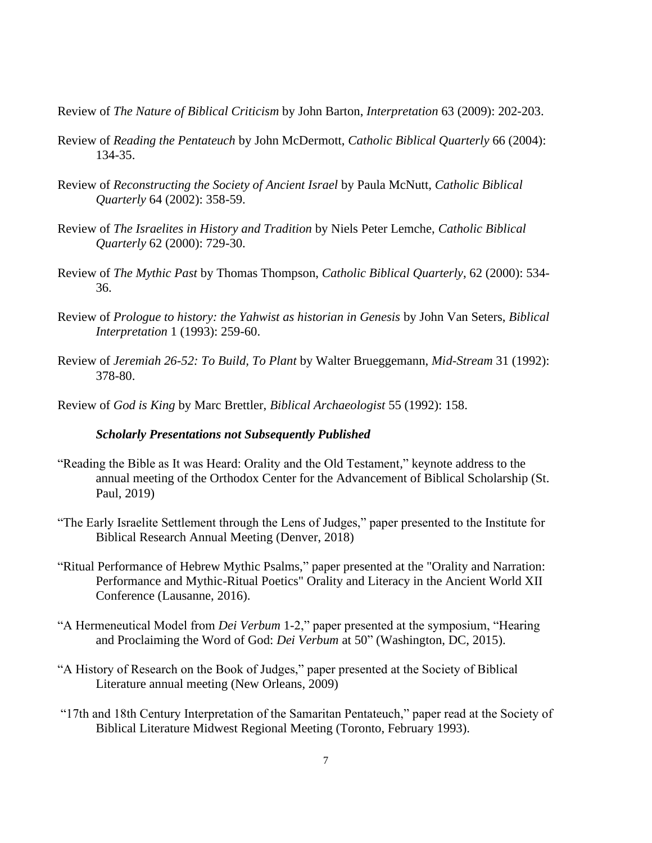- Review of *The Nature of Biblical Criticism* by John Barton, *Interpretation* 63 (2009): 202-203.
- Review of *Reading the Pentateuch* by John McDermott, *Catholic Biblical Quarterly* 66 (2004): 134-35.
- Review of *Reconstructing the Society of Ancient Israel* by Paula McNutt, *Catholic Biblical Quarterly* 64 (2002): 358-59.
- Review of *The Israelites in History and Tradition* by Niels Peter Lemche, *Catholic Biblical Quarterly* 62 (2000): 729-30.
- Review of *The Mythic Past* by Thomas Thompson, *Catholic Biblical Quarterly*, 62 (2000): 534- 36.
- Review of *Prologue to history: the Yahwist as historian in Genesis* by John Van Seters, *Biblical Interpretation* 1 (1993): 259-60.
- Review of *Jeremiah 26-52: To Build, To Plant* by Walter Brueggemann, *Mid-Stream* 31 (1992): 378-80.
- Review of *God is King* by Marc Brettler, *Biblical Archaeologist* 55 (1992): 158.

#### *Scholarly Presentations not Subsequently Published*

- "Reading the Bible as It was Heard: Orality and the Old Testament," keynote address to the annual meeting of the Orthodox Center for the Advancement of Biblical Scholarship (St. Paul, 2019)
- "The Early Israelite Settlement through the Lens of Judges," paper presented to the Institute for Biblical Research Annual Meeting (Denver, 2018)
- "Ritual Performance of Hebrew Mythic Psalms," paper presented at the "Orality and Narration: Performance and Mythic-Ritual Poetics" Orality and Literacy in the Ancient World XII Conference (Lausanne, 2016).
- "A Hermeneutical Model from *Dei Verbum* 1-2," paper presented at the symposium, "Hearing and Proclaiming the Word of God: *Dei Verbum* at 50" (Washington, DC, 2015).
- "A History of Research on the Book of Judges," paper presented at the Society of Biblical Literature annual meeting (New Orleans, 2009)
- "17th and 18th Century Interpretation of the Samaritan Pentateuch," paper read at the Society of Biblical Literature Midwest Regional Meeting (Toronto, February 1993).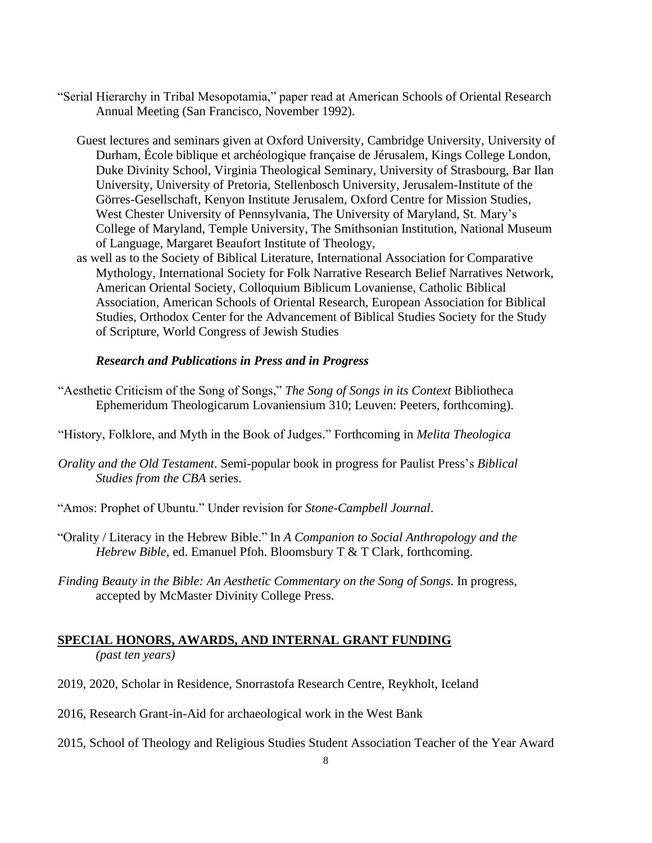- "Serial Hierarchy in Tribal Mesopotamia," paper read at American Schools of Oriental Research Annual Meeting (San Francisco, November 1992).
	- Guest lectures and seminars given at Oxford University, Cambridge University, University of Durham, École biblique et archéologique française de Jérusalem, Kings College London, Duke Divinity School, Virginia Theological Seminary, University of Strasbourg, Bar Ilan University, University of Pretoria, Stellenbosch University, Jerusalem-Institute of the Görres-Gesellschaft, Kenyon Institute Jerusalem, Oxford Centre for Mission Studies, West Chester University of Pennsylvania, The University of Maryland, St. Mary's College of Maryland, Temple University, The Smithsonian Institution, National Museum of Language, Margaret Beaufort Institute of Theology,
	- as well as to the Society of Biblical Literature, International Association for Comparative Mythology, International Society for Folk Narrative Research Belief Narratives Network, American Oriental Society, Colloquium Biblicum Lovaniense, Catholic Biblical Association, American Schools of Oriental Research, European Association for Biblical Studies, Orthodox Center for the Advancement of Biblical Studies Society for the Study of Scripture, World Congress of Jewish Studies

## *Research and Publications in Press and in Progress*

- "Aesthetic Criticism of the Song of Songs," *The Song of Songs in its Context* Bibliotheca Ephemeridum Theologicarum Lovaniensium 310; Leuven: Peeters, forthcoming).
- "History, Folklore, and Myth in the Book of Judges." Forthcoming in *Melita Theologica*
- *Orality and the Old Testament*. Semi-popular book in progress for Paulist Press's *Biblical Studies from the CBA* series.
- "Amos: Prophet of Ubuntu." Under revision for *Stone-Campbell Journal*.
- "Orality / Literacy in the Hebrew Bible." In *A Companion to Social Anthropology and the Hebrew Bible*, ed. Emanuel Pfoh. Bloomsbury T & T Clark, forthcoming.
- *Finding Beauty in the Bible: An Aesthetic Commentary on the Song of Songs.* In progress, accepted by McMaster Divinity College Press.

# **SPECIAL HONORS, AWARDS, AND INTERNAL GRANT FUNDING** *(past ten years)*

- 2019, 2020, Scholar in Residence, Snorrastofa Research Centre, Reykholt, Iceland
- 2016, Research Grant-in-Aid for archaeological work in the West Bank
- 2015, School of Theology and Religious Studies Student Association Teacher of the Year Award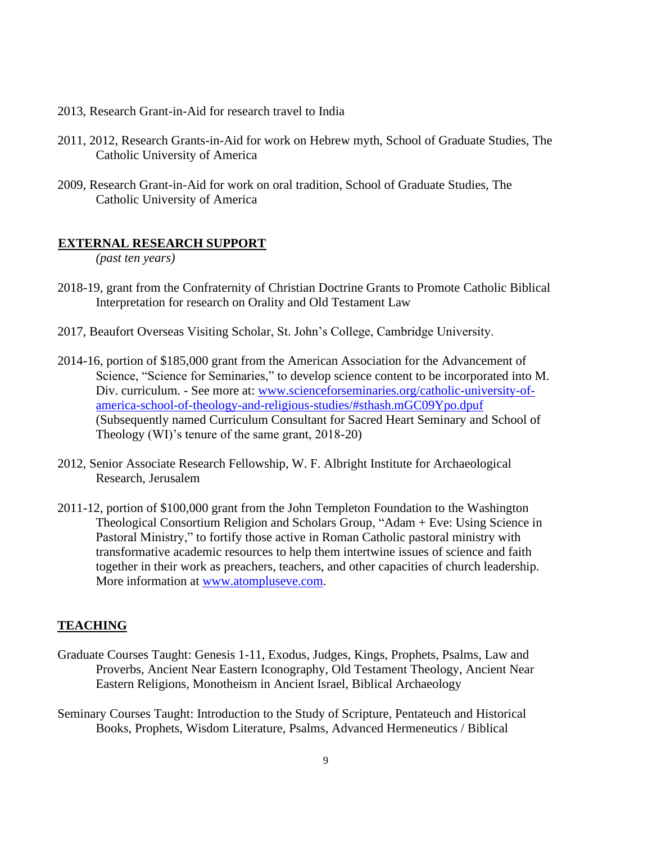- 2013, Research Grant-in-Aid for research travel to India
- 2011, 2012, Research Grants-in-Aid for work on Hebrew myth, School of Graduate Studies, The Catholic University of America
- 2009, Research Grant-in-Aid for work on oral tradition, School of Graduate Studies, The Catholic University of America

## **EXTERNAL RESEARCH SUPPORT**

*(past ten years)*

- 2018-19, grant from the Confraternity of Christian Doctrine Grants to Promote Catholic Biblical Interpretation for research on Orality and Old Testament Law
- 2017, Beaufort Overseas Visiting Scholar, St. John's College, Cambridge University.
- 2014-16, portion of \$185,000 grant from the American Association for the Advancement of Science, "Science for Seminaries," to develop science content to be incorporated into M. Div. curriculum. - See more at: [www.scienceforseminaries.org/catholic-university-of](http://www.scienceforseminaries.org/catholic-university-of-america-school-of-theology-and-religious-studies/#sthash.mGC09Ypo.dpuf)[america-school-of-theology-and-religious-studies/#sthash.mGC09Ypo.dpuf](http://www.scienceforseminaries.org/catholic-university-of-america-school-of-theology-and-religious-studies/#sthash.mGC09Ypo.dpuf) (Subsequently named Curriculum Consultant for Sacred Heart Seminary and School of Theology (WI)'s tenure of the same grant, 2018-20)
- 2012, Senior Associate Research Fellowship, W. F. Albright Institute for Archaeological Research, Jerusalem
- 2011-12, portion of \$100,000 grant from the John Templeton Foundation to the Washington Theological Consortium Religion and Scholars Group, "Adam + Eve: Using Science in Pastoral Ministry," to fortify those active in Roman Catholic pastoral ministry with transformative academic resources to help them intertwine issues of science and faith together in their work as preachers, teachers, and other capacities of church leadership. More information at [www.atompluseve.com.](http://www.atompluseve.com/)

## **TEACHING**

- Graduate Courses Taught: Genesis 1-11, Exodus, Judges, Kings, Prophets, Psalms, Law and Proverbs, Ancient Near Eastern Iconography, Old Testament Theology, Ancient Near Eastern Religions, Monotheism in Ancient Israel, Biblical Archaeology
- Seminary Courses Taught: Introduction to the Study of Scripture, Pentateuch and Historical Books, Prophets, Wisdom Literature, Psalms, Advanced Hermeneutics / Biblical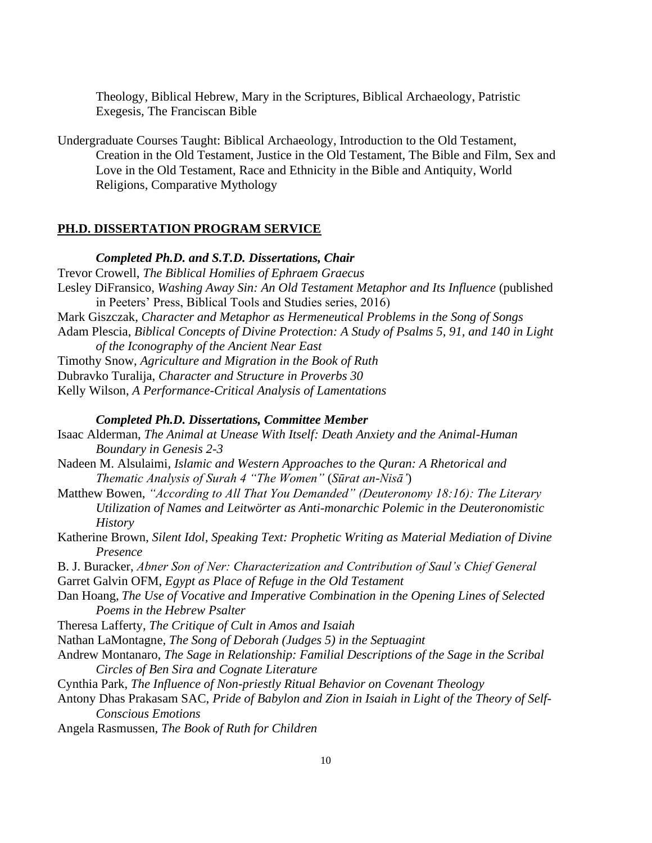Theology, Biblical Hebrew, Mary in the Scriptures, Biblical Archaeology, Patristic Exegesis, The Franciscan Bible

Undergraduate Courses Taught: Biblical Archaeology, Introduction to the Old Testament, Creation in the Old Testament, Justice in the Old Testament, The Bible and Film, Sex and Love in the Old Testament, Race and Ethnicity in the Bible and Antiquity, World Religions, Comparative Mythology

#### **PH.D. DISSERTATION PROGRAM SERVICE**

#### *Completed Ph.D. and S.T.D. Dissertations, Chair*

Trevor Crowell, *The Biblical Homilies of Ephraem Graecus* Lesley DiFransico, *Washing Away Sin: An Old Testament Metaphor and Its Influence* (published in Peeters' Press, Biblical Tools and Studies series, 2016) Mark Giszczak, *Character and Metaphor as Hermeneutical Problems in the Song of Songs* Adam Plescia, *Biblical Concepts of Divine Protection: A Study of Psalms 5, 91, and 140 in Light of the Iconography of the Ancient Near East* Timothy Snow, *Agriculture and Migration in the Book of Ruth*

Dubravko Turalija, *Character and Structure in Proverbs 30* Kelly Wilson, *A Performance-Critical Analysis of Lamentations*

#### *Completed Ph.D. Dissertations, Committee Member*

Isaac Alderman, *The Animal at Unease With Itself: Death Anxiety and the Animal-Human Boundary in Genesis 2-3*

- Nadeen M. Alsulaimi, *Islamic and Western Approaches to the Quran: A Rhetorical and Thematic Analysis of Surah 4 "The Women"* (*Sūrat an-Nisā'*)
- Matthew Bowen, *"According to All That You Demanded" (Deuteronomy 18:16): The Literary Utilization of Names and Leitwörter as Anti-monarchic Polemic in the Deuteronomistic History*
- Katherine Brown, *Silent Idol, Speaking Text: Prophetic Writing as Material Mediation of Divine Presence*

B. J. Buracker, *Abner Son of Ner: Characterization and Contribution of Saul's Chief General* Garret Galvin OFM, *Egypt as Place of Refuge in the Old Testament*

Dan Hoang, *The Use of Vocative and Imperative Combination in the Opening Lines of Selected Poems in the Hebrew Psalter*

Theresa Lafferty, *The Critique of Cult in Amos and Isaiah*

Nathan LaMontagne, *The Song of Deborah (Judges 5) in the Septuagint*

- Andrew Montanaro, *The Sage in Relationship: Familial Descriptions of the Sage in the Scribal Circles of Ben Sira and Cognate Literature*
- Cynthia Park, *The Influence of Non-priestly Ritual Behavior on Covenant Theology*
- Antony Dhas Prakasam SAC, *Pride of Babylon and Zion in Isaiah in Light of the Theory of Self-Conscious Emotions*

Angela Rasmussen, *The Book of Ruth for Children*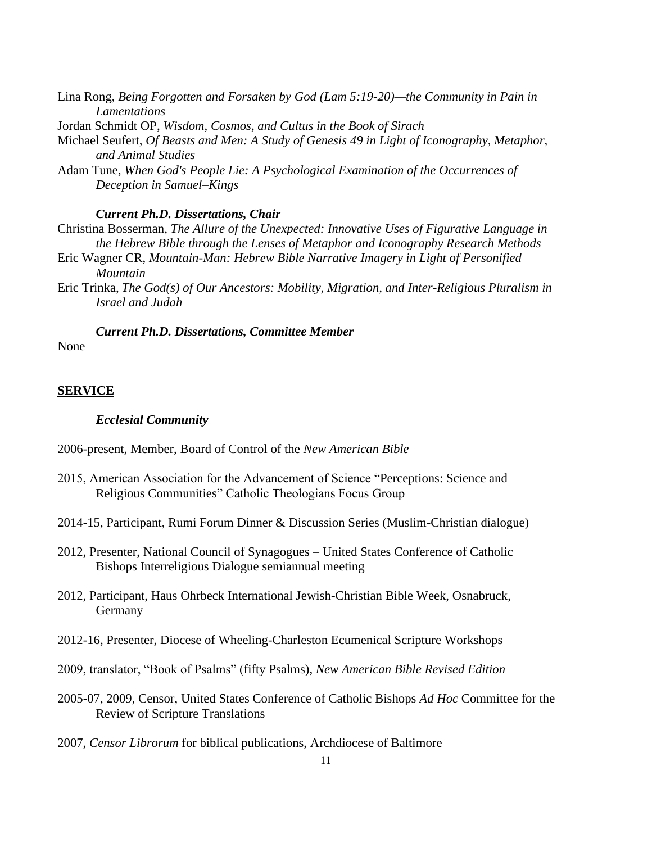Lina Rong, *Being Forgotten and Forsaken by God (Lam 5:19-20)—the Community in Pain in Lamentations* Jordan Schmidt OP, *Wisdom, Cosmos, and Cultus in the Book of Sirach* Michael Seufert, *Of Beasts and Men: A Study of Genesis 49 in Light of Iconography, Metaphor, and Animal Studies* Adam Tune, *When God's People Lie: A Psychological Examination of the Occurrences of Deception in Samuel–Kings*

# *Current Ph.D. Dissertations, Chair*

Christina Bosserman, *The Allure of the Unexpected: Innovative Uses of Figurative Language in the Hebrew Bible through the Lenses of Metaphor and Iconography Research Methods*

- Eric Wagner CR, *Mountain-Man: Hebrew Bible Narrative Imagery in Light of Personified Mountain*
- Eric Trinka, *The God(s) of Our Ancestors: Mobility, Migration, and Inter-Religious Pluralism in Israel and Judah*

#### *Current Ph.D. Dissertations, Committee Member*

None

#### **SERVICE**

#### *Ecclesial Community*

2006-present, Member, Board of Control of the *New American Bible*

- 2015, American Association for the Advancement of Science "Perceptions: Science and Religious Communities" Catholic Theologians Focus Group
- 2014-15, Participant, Rumi Forum Dinner & Discussion Series (Muslim-Christian dialogue)
- 2012, Presenter, National Council of Synagogues United States Conference of Catholic Bishops Interreligious Dialogue semiannual meeting
- 2012, Participant, Haus Ohrbeck International Jewish-Christian Bible Week, Osnabruck, Germany
- 2012-16, Presenter, Diocese of Wheeling-Charleston Ecumenical Scripture Workshops
- 2009, translator, "Book of Psalms" (fifty Psalms), *New American Bible Revised Edition*
- 2005-07, 2009, Censor, United States Conference of Catholic Bishops *Ad Hoc* Committee for the Review of Scripture Translations
- 2007, *Censor Librorum* for biblical publications, Archdiocese of Baltimore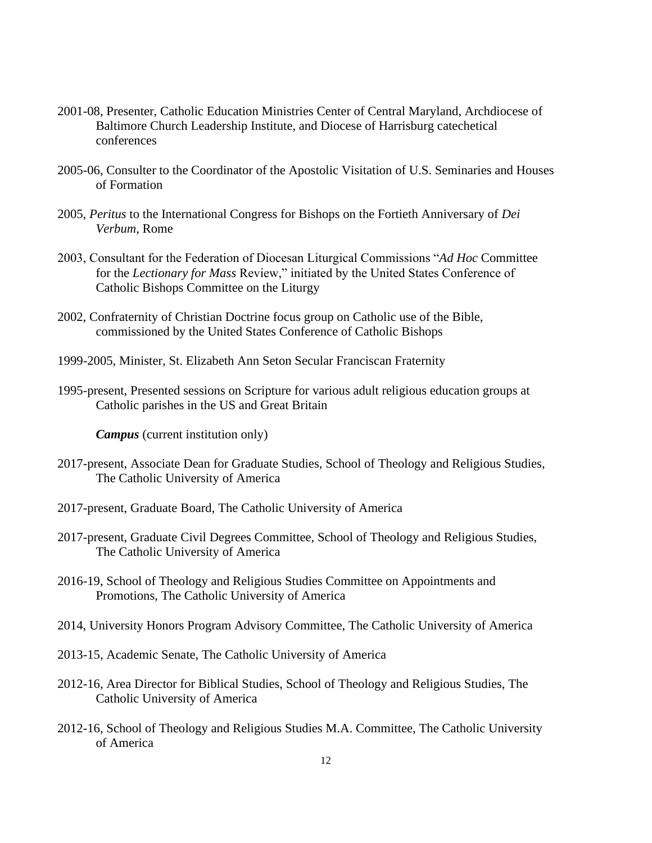- 2001-08, Presenter, Catholic Education Ministries Center of Central Maryland, Archdiocese of Baltimore Church Leadership Institute, and Diocese of Harrisburg catechetical conferences
- 2005-06, Consulter to the Coordinator of the Apostolic Visitation of U.S. Seminaries and Houses of Formation
- 2005, *Peritus* to the International Congress for Bishops on the Fortieth Anniversary of *Dei Verbum*, Rome
- 2003, Consultant for the Federation of Diocesan Liturgical Commissions "*Ad Hoc* Committee for the *Lectionary for Mass* Review," initiated by the United States Conference of Catholic Bishops Committee on the Liturgy
- 2002, Confraternity of Christian Doctrine focus group on Catholic use of the Bible, commissioned by the United States Conference of Catholic Bishops
- 1999-2005, Minister, St. Elizabeth Ann Seton Secular Franciscan Fraternity
- 1995-present, Presented sessions on Scripture for various adult religious education groups at Catholic parishes in the US and Great Britain

*Campus* (current institution only)

- 2017-present, Associate Dean for Graduate Studies, School of Theology and Religious Studies, The Catholic University of America
- 2017-present, Graduate Board, The Catholic University of America
- 2017-present, Graduate Civil Degrees Committee, School of Theology and Religious Studies, The Catholic University of America
- 2016-19, School of Theology and Religious Studies Committee on Appointments and Promotions, The Catholic University of America
- 2014, University Honors Program Advisory Committee, The Catholic University of America
- 2013-15, Academic Senate, The Catholic University of America
- 2012-16, Area Director for Biblical Studies, School of Theology and Religious Studies, The Catholic University of America
- 2012-16, School of Theology and Religious Studies M.A. Committee, The Catholic University of America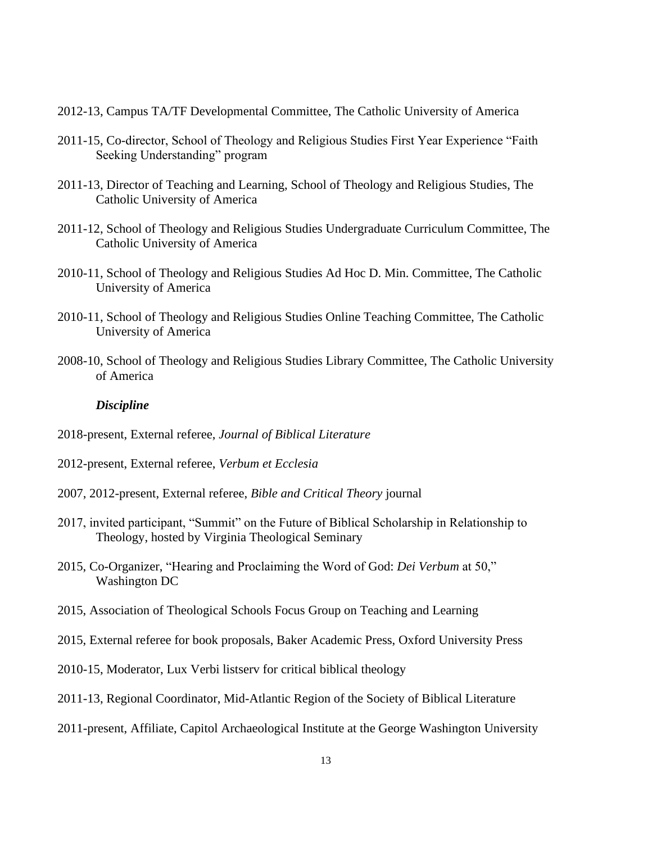- 2012-13, Campus TA/TF Developmental Committee, The Catholic University of America
- 2011-15, Co-director, School of Theology and Religious Studies First Year Experience "Faith Seeking Understanding" program
- 2011-13, Director of Teaching and Learning, School of Theology and Religious Studies, The Catholic University of America
- 2011-12, School of Theology and Religious Studies Undergraduate Curriculum Committee, The Catholic University of America
- 2010-11, School of Theology and Religious Studies Ad Hoc D. Min. Committee, The Catholic University of America
- 2010-11, School of Theology and Religious Studies Online Teaching Committee, The Catholic University of America
- 2008-10, School of Theology and Religious Studies Library Committee, The Catholic University of America

## *Discipline*

- 2018-present, External referee, *Journal of Biblical Literature*
- 2012-present, External referee, *Verbum et Ecclesia*
- 2007, 2012-present, External referee, *Bible and Critical Theory* journal
- 2017, invited participant, "Summit" on the Future of Biblical Scholarship in Relationship to Theology, hosted by Virginia Theological Seminary
- 2015, Co-Organizer, "Hearing and Proclaiming the Word of God: *Dei Verbum* at 50," Washington DC
- 2015, Association of Theological Schools Focus Group on Teaching and Learning
- 2015, External referee for book proposals, Baker Academic Press, Oxford University Press
- 2010-15, Moderator, Lux Verbi listserv for critical biblical theology
- 2011-13, Regional Coordinator, Mid-Atlantic Region of the Society of Biblical Literature
- 2011-present, Affiliate, Capitol Archaeological Institute at the George Washington University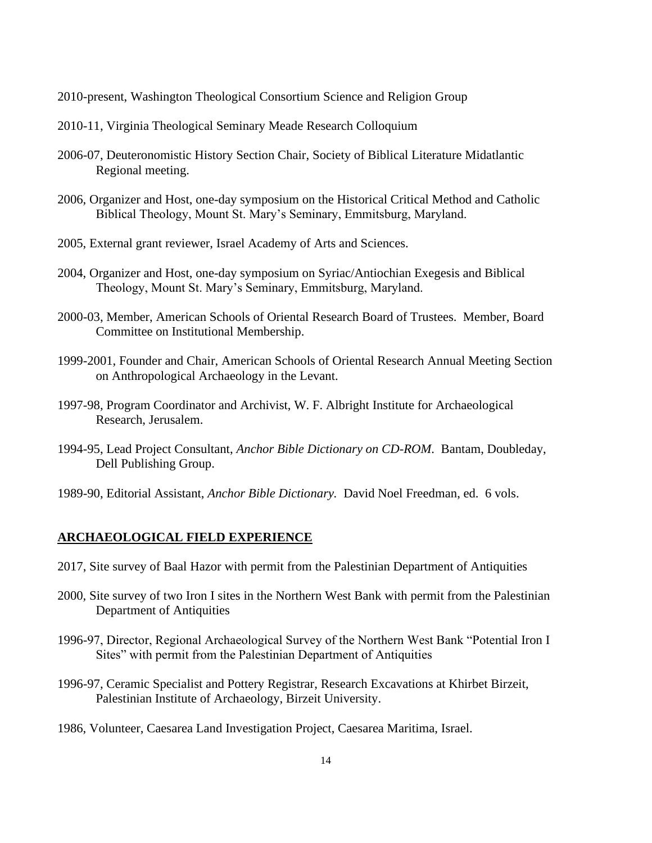2010-present, Washington Theological Consortium Science and Religion Group

- 2010-11, Virginia Theological Seminary Meade Research Colloquium
- 2006-07, Deuteronomistic History Section Chair, Society of Biblical Literature Midatlantic Regional meeting.
- 2006, Organizer and Host, one-day symposium on the Historical Critical Method and Catholic Biblical Theology, Mount St. Mary's Seminary, Emmitsburg, Maryland.
- 2005, External grant reviewer, Israel Academy of Arts and Sciences.
- 2004, Organizer and Host, one-day symposium on Syriac/Antiochian Exegesis and Biblical Theology, Mount St. Mary's Seminary, Emmitsburg, Maryland.
- 2000-03, Member, American Schools of Oriental Research Board of Trustees. Member, Board Committee on Institutional Membership.
- 1999-2001, Founder and Chair, American Schools of Oriental Research Annual Meeting Section on Anthropological Archaeology in the Levant.
- 1997-98, Program Coordinator and Archivist, W. F. Albright Institute for Archaeological Research, Jerusalem.
- 1994-95, Lead Project Consultant, *Anchor Bible Dictionary on CD-ROM*. Bantam, Doubleday, Dell Publishing Group.
- 1989-90, Editorial Assistant, *Anchor Bible Dictionary.* David Noel Freedman, ed. 6 vols.

## **ARCHAEOLOGICAL FIELD EXPERIENCE**

- 2017, Site survey of Baal Hazor with permit from the Palestinian Department of Antiquities
- 2000, Site survey of two Iron I sites in the Northern West Bank with permit from the Palestinian Department of Antiquities
- 1996-97, Director, Regional Archaeological Survey of the Northern West Bank "Potential Iron I Sites" with permit from the Palestinian Department of Antiquities
- 1996-97, Ceramic Specialist and Pottery Registrar, Research Excavations at Khirbet Birzeit, Palestinian Institute of Archaeology, Birzeit University.
- 1986, Volunteer, Caesarea Land Investigation Project, Caesarea Maritima, Israel.